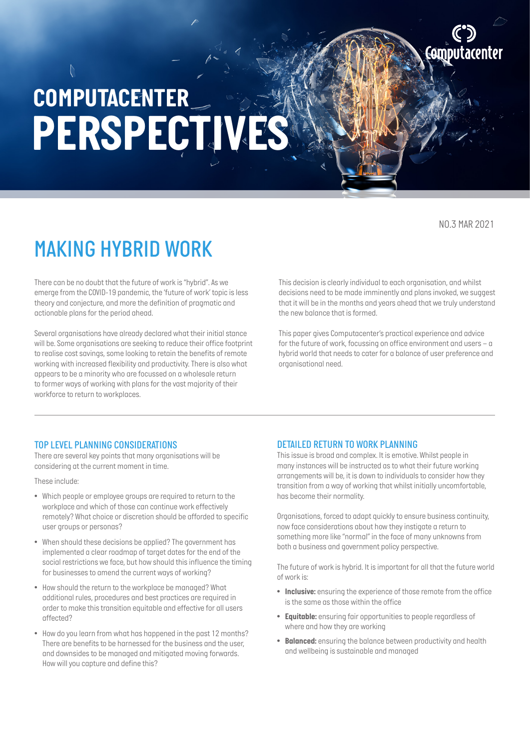*NO.3 MAR 2021*

**AM** 

### *MAKING HYBRID WORK*

*There can be no doubt that the future of work is "hybrid". As we emerge from the COVID-19 pandemic, the 'future of work' topic is less theory and conjecture, and more the definition of pragmatic and actionable plans for the period ahead.*

*Several organisations have already declared what their initial stance will be. Some organisations are seeking to reduce their office footprint to realise cost savings, some looking to retain the benefits of remote working with increased flexibility and productivity. There is also what appears to be a minority who are focussed on a wholesale return to former ways of working with plans for the vast majority of their workforce to return to workplaces.* 

*This decision is clearly individual to each organisation, and whilst decisions need to be made imminently and plans invoked, we suggest that it will be in the months and years ahead that we truly understand the new balance that is formed.*

*This paper gives Computacenter's practical experience and advice for the future of work, focussing on office environment and users – a hybrid world that needs to cater for a balance of user preference and organisational need.*

#### *TOP LEVEL PLANNING CONSIDERATIONS*

*There are several key points that many organisations will be considering at the current moment in time.* 

*These include:*

- *Which people or employee groups are required to return to the workplace and which of those can continue work effectively remotely? What choice or discretion should be afforded to specific user groups or personas?*
- *When should these decisions be applied? The government has implemented a clear roadmap of target dates for the end of the social restrictions we face, but how should this influence the timing for businesses to amend the current ways of working?*
- *How should the return to the workplace be managed? What additional rules, procedures and best practices are required in order to make this transition equitable and effective for all users affected?*
- *How do you learn from what has happened in the past 12 months? There are benefits to be harnessed for the business and the user, and downsides to be managed and mitigated moving forwards. How will you capture and define this?*

#### *DETAILED RETURN TO WORK PLANNING*

*This issue is broad and complex. It is emotive. Whilst people in many instances will be instructed as to what their future working arrangements will be, it is down to individuals to consider how they transition from a way of working that whilst initially uncomfortable, has become their normality.* 

*Organisations, forced to adapt quickly to ensure business continuity, now face considerations about how they instigate a return to something more like "normal" in the face of many unknowns from both a business and government policy perspective.* 

*The future of work is hybrid. It is important for all that the future world of work is:* 

- *Inclusive: ensuring the experience of those remote from the office is the same as those within the office*
- *Equitable: ensuring fair opportunities to people regardless of where and how they are working*
- *Balanced: ensuring the balance between productivity and health and wellbeing is sustainable and managed*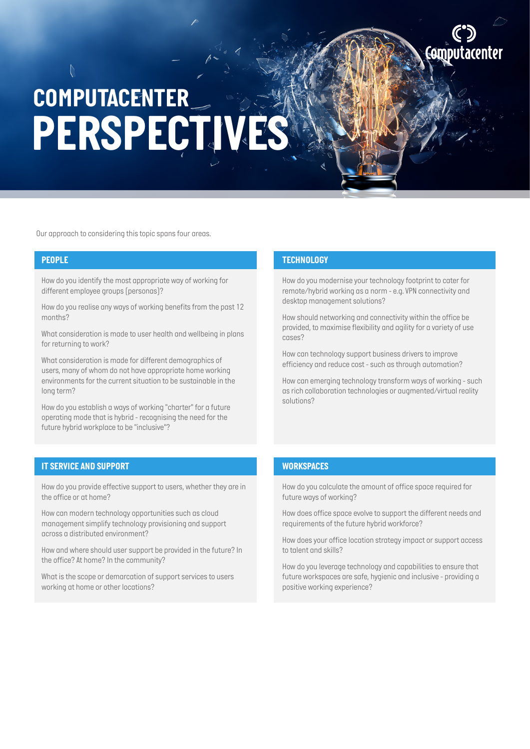*Our approach to considering this topic spans four areas.*

*How do you identify the most appropriate way of working for different employee groups (personas)?*

*How do you realise any ways of working benefits from the past 12 months?*

*What consideration is made to user health and wellbeing in plans for returning to work?*

*What consideration is made for different demographics of users, many of whom do not have appropriate home working environments for the current situation to be sustainable in the long term?*

*How do you establish a ways of working "charter" for a future operating mode that is hybrid - recognising the need for the future hybrid workplace to be "inclusive"?*

#### *IT SERVICE AND SUPPORT WORKSPACES*

*How do you provide effective support to users, whether they are in the office or at home?*

*How can modern technology opportunities such as cloud management simplify technology provisioning and support across a distributed environment?*

*How and where should user support be provided in the future? In the office? At home? In the community?*

*What is the scope or demarcation of support services to users working at home or other locations?*

#### *PEOPLE TECHNOLOGY*

*How do you modernise your technology footprint to cater for remote/hybrid working as a norm - e.g. VPN connectivity and desktop management solutions?*

*How should networking and connectivity within the office be provided, to maximise flexibility and agility for a variety of use cases?*

*How can technology support business drivers to improve efficiency and reduce cost - such as through automation?*

*How can emerging technology transform ways of working - such as rich collaboration technologies or augmented/virtual reality solutions?*

*How do you calculate the amount of office space required for future ways of working?*

*How does office space evolve to support the different needs and requirements of the future hybrid workforce?*

*How does your office location strategy impact or support access to talent and skills?*

*How do you leverage technology and capabilities to ensure that future workspaces are safe, hygienic and inclusive - providing a positive working experience?*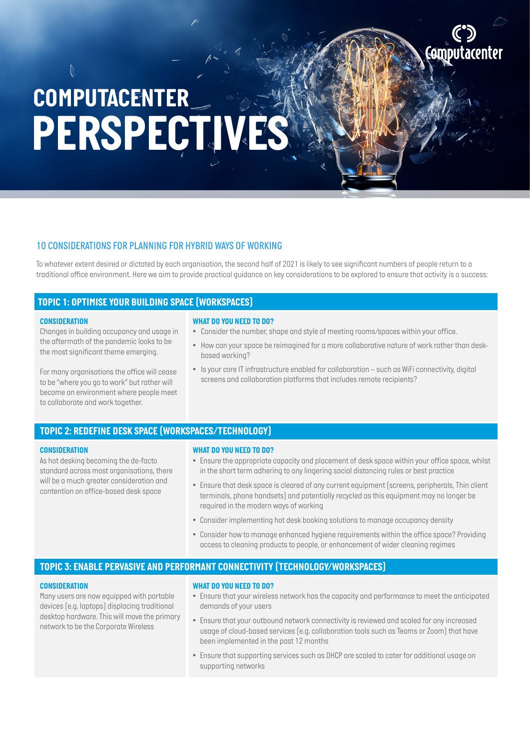#### *10 CONSIDERATIONS FOR PLANNING FOR HYBRID WAYS OF WORKING*

*To whatever extent desired or dictated by each organisation, the second half of 2021 is likely to see significant numbers of people return to a traditional office environment. Here we aim to provide practical guidance on key considerations to be explored to ensure that activity is a success:*

#### *TOPIC 1: OPTIMISE YOUR BUILDING SPACE (WORKSPACES)*

#### *CONSIDERATION*

*Changes in building occupancy and usage in the aftermath of the pandemic looks to be the most significant theme emerging.* 

*For many organisations the office will cease to be "where you go to work" but rather will become an environment where people meet to collaborate and work together.* 

#### *WHAT DO YOU NEED TO DO?*

- *Consider the number, shape and style of meeting rooms/spaces within your office.*
- *How can your space be reimagined for a more collaborative nature of work rather than deskbased working?*
- *Is your core IT infrastructure enabled for collaboration such as WiFi connectivity, digital screens and collaboration platforms that includes remote recipients?*

#### *TOPIC 2: REDEFINE DESK SPACE (WORKSPACES/TECHNOLOGY)*

#### *CONSIDERATION*

*As hot desking becoming the de-facto standard across most organisations, there will be a much greater consideration and contention on office-based desk space*

#### *WHAT DO YOU NEED TO DO?*

- *Ensure the appropriate capacity and placement of desk space within your office space, whilst in the short term adhering to any lingering social distancing rules or best practice*
- *Ensure that desk space is cleared of any current equipment (screens, peripherals, Thin client terminals, phone handsets) and potentially recycled as this equipment may no longer be required in the modern ways of working*
- *Consider implementing hot desk booking solutions to manage occupancy density*
- *Consider how to manage enhanced hygiene requirements within the office space? Providing access to cleaning products to people, or enhancement of wider cleaning regimes*

#### *TOPIC 3: ENABLE PERVASIVE AND PERFORMANT CONNECTIVITY (TECHNOLOGY/WORKSPACES)*

#### *CONSIDERATION*

*Many users are now equipped with portable devices (e.g. laptops) displacing traditional desktop hardware. This will move the primary network to be the Corporate Wireless*

#### *WHAT DO YOU NEED TO DO?*

- *Ensure that your wireless network has the capacity and performance to meet the anticipated demands of your users*
- *Ensure that your outbound network connectivity is reviewed and scaled for any increased usage of cloud-based services (e.g. collaboration tools such as Teams or Zoom) that have been implemented in the past 12 months*
- *Ensure that supporting services such as DHCP are scaled to cater for additional usage on supporting networks*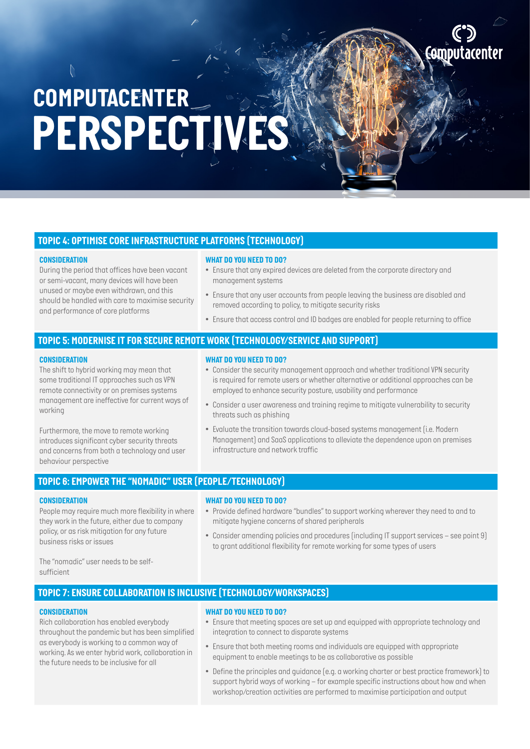#### *TOPIC 4: OPTIMISE CORE INFRASTRUCTURE PLATFORMS (TECHNOLOGY)*

#### *CONSIDERATION*

*During the period that offices have been vacant or semi-vacant, many devices will have been unused or maybe even withdrawn, and this should be handled with care to maximise security and performance of core platforms*

- *WHAT DO YOU NEED TO DO?*
- *Ensure that any expired devices are deleted from the corporate directory and management systems*
- *Ensure that any user accounts from people leaving the business are disabled and removed according to policy, to mitigate security risks*
- *• Ensure that access control and ID badges are enabled for people returning to office*

#### *TOPIC 5: MODERNISE IT FOR SECURE REMOTE WORK (TECHNOLOGY/SERVICE AND SUPPORT)*

#### *CONSIDERATION*

*The shift to hybrid working may mean that some traditional IT approaches such as VPN remote connectivity or on premises systems management are ineffective for current ways of working*

*Furthermore, the move to remote working introduces significant cyber security threats and concerns from both a technology and user behaviour perspective*

#### *WHAT DO YOU NEED TO DO?*

- *Consider the security management approach and whether traditional VPN security is required for remote users or whether alternative or additional approaches can be employed to enhance security posture, usability and performance*
- *Consider a user awareness and training regime to mitigate vulnerability to security threats such as phishing*
- *Evaluate the transition towards cloud-based systems management (i.e. Modern Management) and SaaS applications to alleviate the dependence upon on premises infrastructure and network traffic*

### *TOPIC 6: EMPOWER THE "NOMADIC" USER (PEOPLE/TECHNOLOGY)*

#### *CONSIDERATION*

*People may require much more flexibility in where they work in the future, either due to company policy, or as risk mitigation for any future business risks or issues* 

#### *WHAT DO YOU NEED TO DO?*

- *Provide defined hardware "bundles" to support working wherever they need to and to mitigate hygiene concerns of shared peripherals*
- *Consider amending policies and procedures (including IT support services see point 9) to grant additional flexibility for remote working for some types of users*

*The "nomadic" user needs to be selfsufficient*

#### *TOPIC 7: ENSURE COLLABORATION IS INCLUSIVE (TECHNOLOGY/WORKSPACES)*

#### *CONSIDERATION*

*Rich collaboration has enabled everybody throughout the pandemic but has been simplified as everybody is working to a common way of working. As we enter hybrid work, collaboration in the future needs to be inclusive for all*

#### *WHAT DO YOU NEED TO DO?*

- *Ensure that meeting spaces are set up and equipped with appropriate technology and integration to connect to disparate systems*
- *Ensure that both meeting rooms and individuals are equipped with appropriate equipment to enable meetings to be as collaborative as possible*
- *Define the principles and guidance (e.g. a working charter or best practice framework) to support hybrid ways of working – for example specific instructions about how and when workshop/creation activities are performed to maximise participation and output*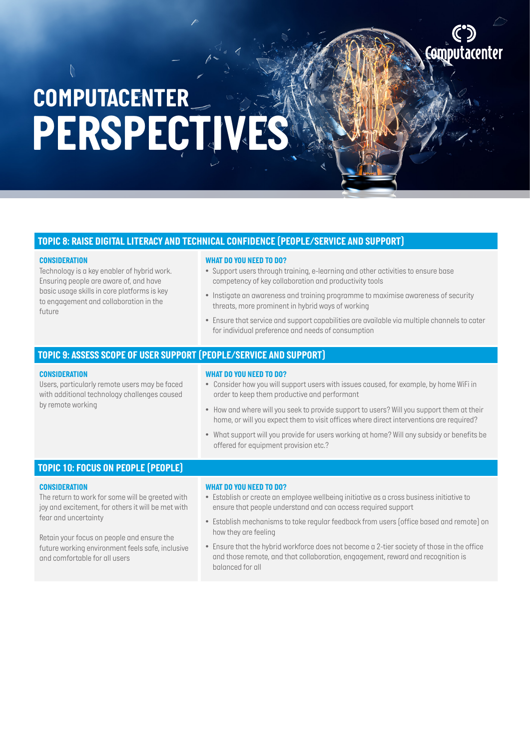#### *TOPIC 8: RAISE DIGITAL LITERACY AND TECHNICAL CONFIDENCE (PEOPLE/SERVICE AND SUPPORT)*

#### *CONSIDERATION*

*Technology is a key enabler of hybrid work. Ensuring people are aware of, and have basic usage skills in core platforms is key to engagement and collaboration in the future*

#### *WHAT DO YOU NEED TO DO?*

- *Support users through training, e-learning and other activities to ensure base competency of key collaboration and productivity tools*
- *Instigate an awareness and training programme to maximise awareness of security threats, more prominent in hybrid ways of working*

**AM** 

*• Ensure that service and support capabilities are available via multiple channels to cater for individual preference and needs of consumption*

#### *TOPIC 9: ASSESS SCOPE OF USER SUPPORT (PEOPLE/SERVICE AND SUPPORT)*

#### *CONSIDERATION*

*Users, particularly remote users may be faced with additional technology challenges caused by remote working* 

- *WHAT DO YOU NEED TO DO?*
- *Consider how you will support users with issues caused, for example, by home WiFi in order to keep them productive and performant*
- *How and where will you seek to provide support to users? Will you support them at their home, or will you expect them to visit offices where direct interventions are required?*
- *What support will you provide for users working at home? Will any subsidy or benefits be offered for equipment provision etc.?*

### *TOPIC 10: FOCUS ON PEOPLE (PEOPLE)*

#### *CONSIDERATION*

*The return to work for some will be greeted with joy and excitement, for others it will be met with fear and uncertainty*

*Retain your focus on people and ensure the future working environment feels safe, inclusive and comfortable for all users*

#### *WHAT DO YOU NEED TO DO?*

- *Establish or create an employee wellbeing initiative as a cross business initiative to ensure that people understand and can access required support*
- *Establish mechanisms to take regular feedback from users (office based and remote) on how they are feeling*
- *Ensure that the hybrid workforce does not become a 2-tier society of those in the office and those remote, and that collaboration, engagement, reward and recognition is balanced for all*